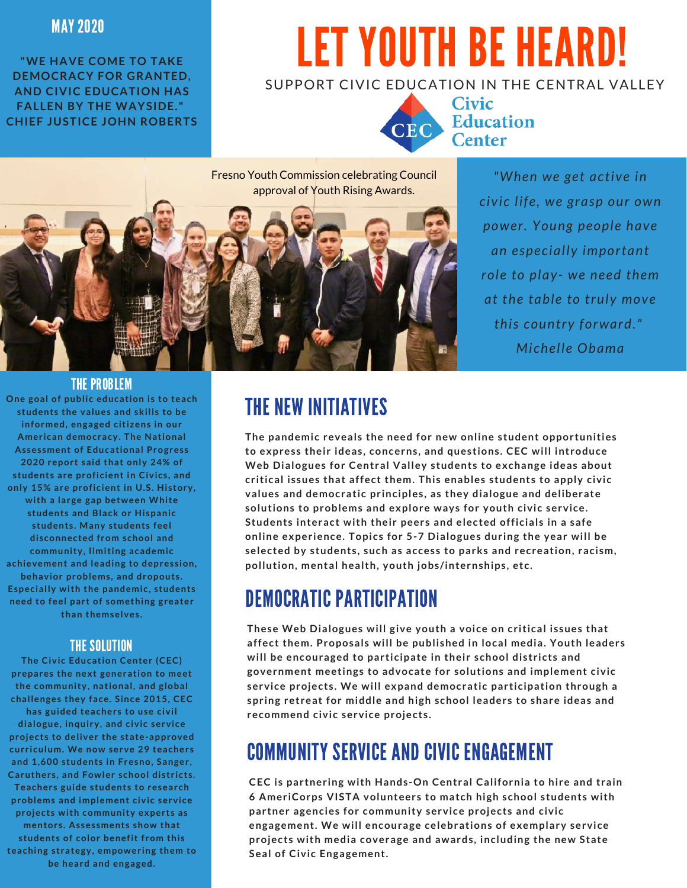#### MAY 2020

**"WE HAVE COME TO TAKE DEMOCRACY FOR GRANTED, AND CIVIC EDUCATION HAS FALLEN BY THE WAYSIDE." CHIEF JUSTICE JOHN ROBERTS**

# LET YOUTH BE HEARD!

#### SUPPORT CIVIC EDUCATION IN THE CENTRAL VALLEY



**Civic** CEC Education

Fresno Youth Commission celebrating Council approval of Youth Rising Awards.



*"When we get active in civic life, we grasp our own power. Young people have an especially important role to play- we need them at the table to truly move this country forward." Michelle Obama*

#### THE PROBLEM

**One goal of public education is to teach students the values and skills to be informed, engaged citizens in our American democracy. The National Assessment of Educational Progress 2020 report said that only 24% of students are proficient in Civics, and only 15% are proficient in U.S. History, with a large gap between White students and Black or Hispanic students. Many students feel disconnected from school and community, limiting academic achievement and leading to depression, behavior problems, and dropouts. Especially with the pandemic, students need to feel part of something greater than themselves.**

#### THE SOLUTION

**The Civic Education Center (CEC) prepares the next generation to meet the community, national, and global challenges they face. Since 2015, CEC has guided teachers to use civil dialogue, inquiry, and civic service projects to deliver the state-approved curriculum. We now serve 29 teachers and 1,600 students in Fresno, Sanger, Caruthers, and Fowler school districts. Teachers guide students to research problems and implement civic service projects with community experts as mentors. Assessments show that students of color benefit from this teaching strategy, empowering them to be heard and engaged.**

## THE NEW INITIATIVES

**The pandemic reveals the need for new online student opportunities to express their ideas, concerns, and questions. CEC will introduce Web Dialogues for Central Valley students to exchange ideas about critical issues that affect them. This enables students to apply civic values and democratic principles, as they dialogue and deliberate solutions to problems and explore ways for youth civic service. Students interact with their peers and elected officials in a safe online experience. Topics for 5-7 Dialogues during the year will be selected by students, such as access to parks and recreation, racism, pollution, mental health, youth jobs/internships, etc.**

### DEMOCRATIC PARTICIPATION

**These Web Dialogues will give youth a voice on critical issues that affect them. Proposals will be published in local media. Youth leaders will be encouraged to participate in their school districts and government meetings to advocate for solutions and implement civic service projects. We will expand democratic participation through a spring retreat for middle and high school leaders to share ideas and recommend civic service projects.**

### COMMUNITY SERVICE AND CIVIC ENGAGEMENT

**CEC is partnering with Hands-On Central California to hire and train 6 AmeriCorps VISTA volunteers to match high school students with partner agencies for community service projects and civic engagement. We will encourage celebrations of exemplary service projects with media coverage and awards, including the new State Seal of Civic Engagement.**